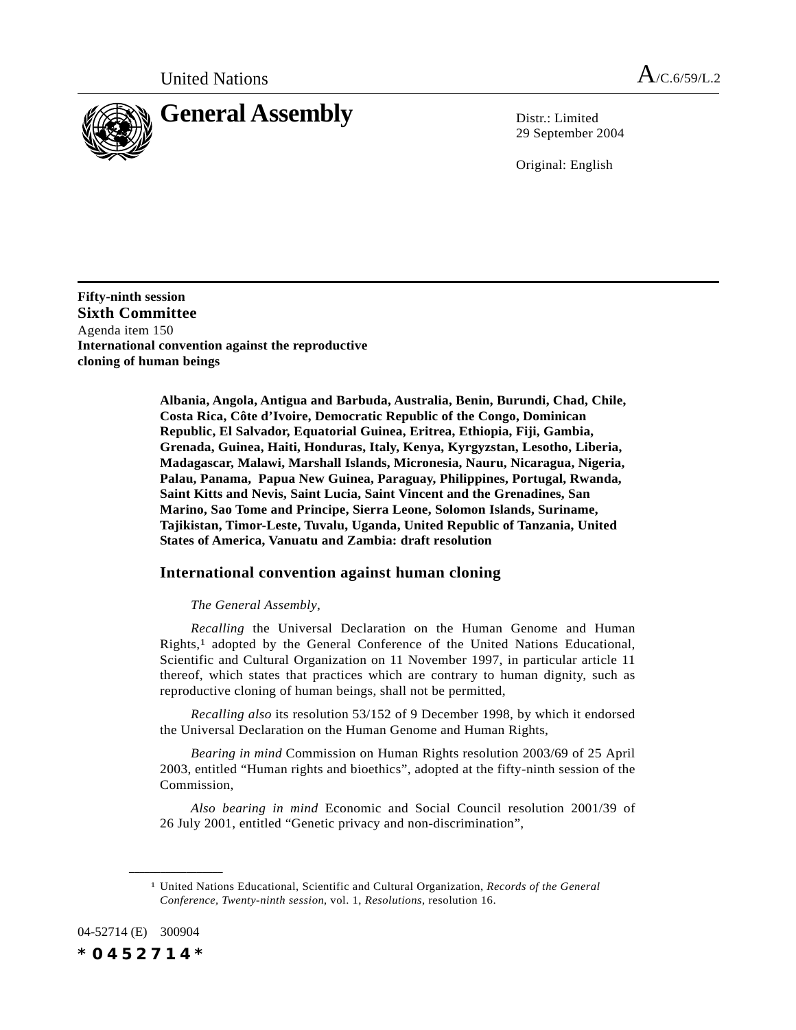

29 September 2004

Original: English

**Fifty-ninth session Sixth Committee** Agenda item 150 **International convention against the reproductive cloning of human beings**

> **Albania, Angola, Antigua and Barbuda, Australia, Benin, Burundi, Chad, Chile, Costa Rica, Côte d'Ivoire, Democratic Republic of the Congo, Dominican Republic, El Salvador, Equatorial Guinea, Eritrea, Ethiopia, Fiji, Gambia, Grenada, Guinea, Haiti, Honduras, Italy, Kenya, Kyrgyzstan, Lesotho, Liberia, Madagascar, Malawi, Marshall Islands, Micronesia, Nauru, Nicaragua, Nigeria, Palau, Panama, Papua New Guinea, Paraguay, Philippines, Portugal, Rwanda, Saint Kitts and Nevis, Saint Lucia, Saint Vincent and the Grenadines, San Marino, Sao Tome and Principe, Sierra Leone, Solomon Islands, Suriname, Tajikistan, Timor-Leste, Tuvalu, Uganda, United Republic of Tanzania, United States of America, Vanuatu and Zambia: draft resolution**

## **International convention against human cloning**

*The General Assembly*,

*Recalling* the Universal Declaration on the Human Genome and Human Rights,1 adopted by the General Conference of the United Nations Educational, Scientific and Cultural Organization on 11 November 1997, in particular article 11 thereof, which states that practices which are contrary to human dignity, such as reproductive cloning of human beings, shall not be permitted,

*Recalling also* its resolution 53/152 of 9 December 1998, by which it endorsed the Universal Declaration on the Human Genome and Human Rights,

*Bearing in mind* Commission on Human Rights resolution 2003/69 of 25 April 2003, entitled "Human rights and bioethics", adopted at the fifty-ninth session of the Commission,

*Also bearing in mind* Economic and Social Council resolution 2001/39 of 26 July 2001, entitled "Genetic privacy and non-discrimination",

04-52714 (E) 300904

**\_\_\_\_\_\_\_\_\_\_\_\_\_\_\_\_\_\_**

*\*0452714\**

<sup>1</sup> United Nations Educational, Scientific and Cultural Organization, *Records of the General Conference, Twenty-ninth session*, vol. 1, *Resolutions*, resolution 16.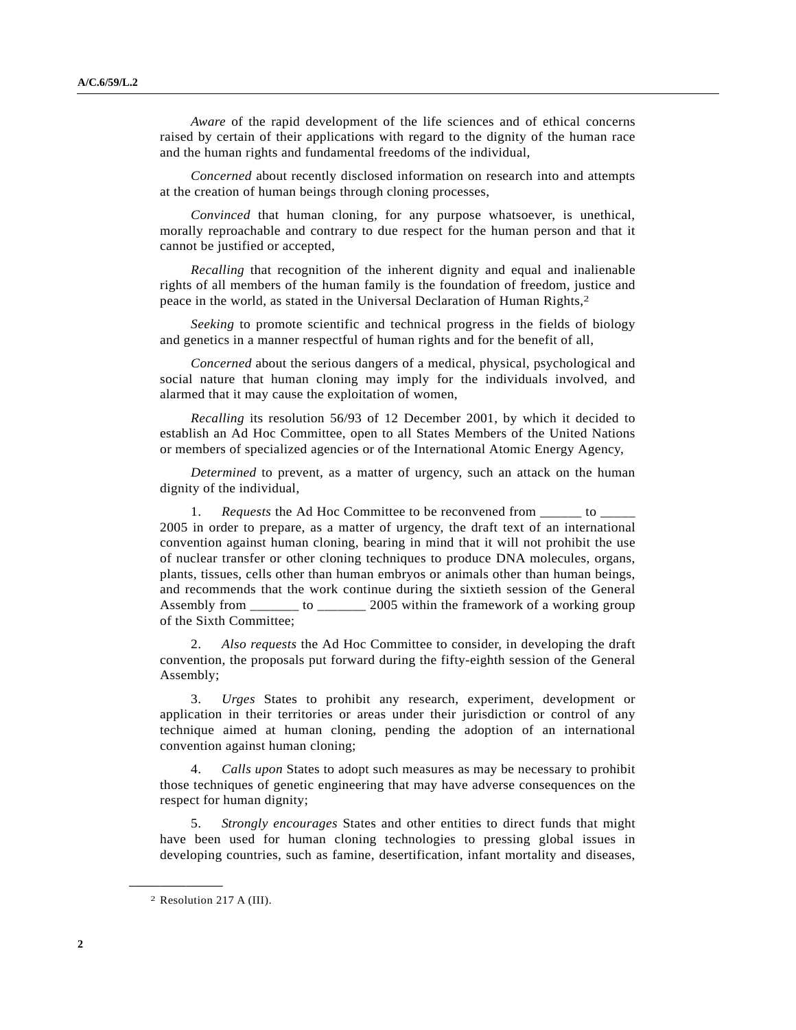*Aware* of the rapid development of the life sciences and of ethical concerns raised by certain of their applications with regard to the dignity of the human race and the human rights and fundamental freedoms of the individual,

*Concerned* about recently disclosed information on research into and attempts at the creation of human beings through cloning processes,

*Convinced* that human cloning, for any purpose whatsoever, is unethical, morally reproachable and contrary to due respect for the human person and that it cannot be justified or accepted,

*Recalling* that recognition of the inherent dignity and equal and inalienable rights of all members of the human family is the foundation of freedom, justice and peace in the world, as stated in the Universal Declaration of Human Rights,2

*Seeking* to promote scientific and technical progress in the fields of biology and genetics in a manner respectful of human rights and for the benefit of all,

*Concerned* about the serious dangers of a medical, physical, psychological and social nature that human cloning may imply for the individuals involved, and alarmed that it may cause the exploitation of women,

*Recalling* its resolution 56/93 of 12 December 2001, by which it decided to establish an Ad Hoc Committee, open to all States Members of the United Nations or members of specialized agencies or of the International Atomic Energy Agency,

*Determined* to prevent, as a matter of urgency, such an attack on the human dignity of the individual,

*Requests* the Ad Hoc Committee to be reconvened from to 2005 in order to prepare, as a matter of urgency, the draft text of an international convention against human cloning, bearing in mind that it will not prohibit the use of nuclear transfer or other cloning techniques to produce DNA molecules, organs, plants, tissues, cells other than human embryos or animals other than human beings, and recommends that the work continue during the sixtieth session of the General Assembly from \_\_\_\_\_\_\_ to \_\_\_\_\_\_\_ 2005 within the framework of a working group of the Sixth Committee;

2. *Also requests* the Ad Hoc Committee to consider, in developing the draft convention, the proposals put forward during the fifty-eighth session of the General Assembly;

3. *Urges* States to prohibit any research, experiment, development or application in their territories or areas under their jurisdiction or control of any technique aimed at human cloning, pending the adoption of an international convention against human cloning;

4. *Calls upon* States to adopt such measures as may be necessary to prohibit those techniques of genetic engineering that may have adverse consequences on the respect for human dignity;

5. *Strongly encourages* States and other entities to direct funds that might have been used for human cloning technologies to pressing global issues in developing countries, such as famine, desertification, infant mortality and diseases,

**\_\_\_\_\_\_\_\_\_\_\_\_\_\_\_\_\_\_**

<sup>2</sup> Resolution 217 A (III).